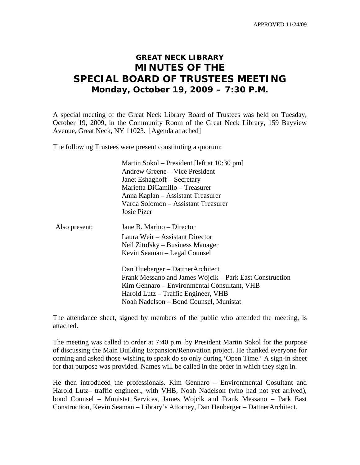APPROVED 11/24/09

## **GREAT NECK LIBRARY MINUTES OF THE SPECIAL BOARD OF TRUSTEES MEETING Monday, October 19, 2009 – 7:30 P.M.**

A special meeting of the Great Neck Library Board of Trustees was held on Tuesday, October 19, 2009, in the Community Room of the Great Neck Library, 159 Bayview Avenue, Great Neck, NY 11023. [Agenda attached]

The following Trustees were present constituting a quorum:

 Martin Sokol – President [left at 10:30 pm] Andrew Greene – Vice President Janet Eshaghoff – Secretary Marietta DiCamillo – Treasurer Anna Kaplan – Assistant Treasurer Varda Solomon – Assistant Treasurer Josie Pizer

| Also present: | Jane B. Marino – Director        |
|---------------|----------------------------------|
|               | Laura Weir – Assistant Director  |
|               | Neil Zitofsky – Business Manager |
|               | Kevin Seaman – Legal Counsel     |
|               |                                  |

Dan Hueberger – DattnerArchitect Frank Messano and James Wojcik – Park East Construction Kim Gennaro – Environmental Consultant, VHB Harold Lutz – Traffic Engineer, VHB Noah Nadelson – Bond Counsel, Munistat

The attendance sheet, signed by members of the public who attended the meeting, is attached.

The meeting was called to order at 7:40 p.m. by President Martin Sokol for the purpose of discussing the Main Building Expansion/Renovation project. He thanked everyone for coming and asked those wishing to speak do so only during 'Open Time.' A sign-in sheet for that purpose was provided. Names will be called in the order in which they sign in.

He then introduced the professionals. Kim Gennaro – Environmental Cosultant and Harold Lutz– traffic engineer., with VHB, Noah Nadelson (who had not yet arrived), bond Counsel – Munistat Services, James Wojcik and Frank Messano – Park East Construction, Kevin Seaman – Library's Attorney, Dan Heuberger – DattnerArchitect.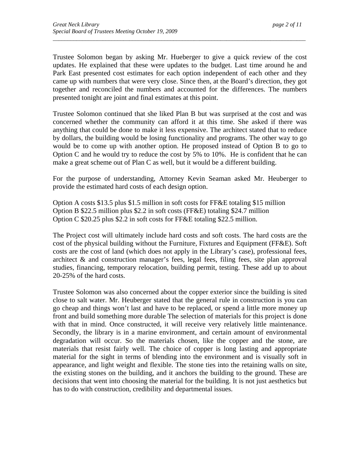Trustee Solomon began by asking Mr. Hueberger to give a quick review of the cost updates. He explained that these were updates to the budget. Last time around he and Park East presented cost estimates for each option independent of each other and they came up with numbers that were very close. Since then, at the Board's direction, they got together and reconciled the numbers and accounted for the differences. The numbers presented tonight are joint and final estimates at this point.

*\_\_\_\_\_\_\_\_\_\_\_\_\_\_\_\_\_\_\_\_\_\_\_\_\_\_\_\_\_\_\_\_\_\_\_\_\_\_\_\_\_\_\_\_\_\_\_\_\_\_\_\_\_\_\_\_\_\_\_\_\_\_\_\_\_\_\_\_\_\_\_\_\_\_\_\_\_\_\_\_\_\_\_\_\_\_* 

Trustee Solomon continued that she liked Plan B but was surprised at the cost and was concerned whether the community can afford it at this time. She asked if there was anything that could be done to make it less expensive. The architect stated that to reduce by dollars, the building would be losing functionality and programs. The other way to go would be to come up with another option. He proposed instead of Option B to go to Option C and he would try to reduce the cost by 5% to 10%. He is confident that he can make a great scheme out of Plan C as well, but it would be a different building.

For the purpose of understanding, Attorney Kevin Seaman asked Mr. Heuberger to provide the estimated hard costs of each design option.

Option A costs \$13.5 plus \$1.5 million in soft costs for FF&E totaling \$15 million Option B \$22.5 million plus \$2.2 in soft costs (FF&E) totaling \$24.7 million Option C \$20.25 plus \$2.2 in soft costs for FF&E totaling \$22.5 million.

The Project cost will ultimately include hard costs and soft costs. The hard costs are the cost of the physical building without the Furniture, Fixtures and Equipment (FF&E). Soft costs are the cost of land (which does not apply in the Library's case), professional fees, architect & and construction manager's fees, legal fees, filing fees, site plan approval studies, financing, temporary relocation, building permit, testing. These add up to about 20-25% of the hard costs.

Trustee Solomon was also concerned about the copper exterior since the building is sited close to salt water. Mr. Heuberger stated that the general rule in construction is you can go cheap and things won't last and have to be replaced, or spend a little more money up front and build something more durable The selection of materials for this project is done with that in mind. Once constructed, it will receive very relatively little maintenance. Secondly, the library is in a marine environment, and certain amount of environmental degradation will occur. So the materials chosen, like the copper and the stone, are materials that resist fairly well. The choice of copper is long lasting and appropriate material for the sight in terms of blending into the environment and is visually soft in appearance, and light weight and flexible. The stone ties into the retaining walls on site, the existing stones on the building, and it anchors the building to the ground. These are decisions that went into choosing the material for the building. It is not just aesthetics but has to do with construction, credibility and departmental issues.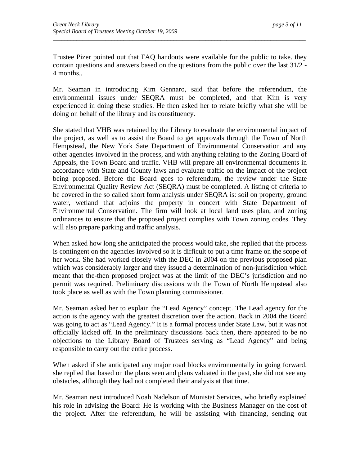Trustee Pizer pointed out that FAQ handouts were available for the public to take. they contain questions and answers based on the questions from the public over the last 31/2 - 4 months..

*\_\_\_\_\_\_\_\_\_\_\_\_\_\_\_\_\_\_\_\_\_\_\_\_\_\_\_\_\_\_\_\_\_\_\_\_\_\_\_\_\_\_\_\_\_\_\_\_\_\_\_\_\_\_\_\_\_\_\_\_\_\_\_\_\_\_\_\_\_\_\_\_\_\_\_\_\_\_\_\_\_\_\_\_\_\_* 

Mr. Seaman in introducing Kim Gennaro, said that before the referendum, the environmental issues under SEQRA must be completed, and that Kim is very experienced in doing these studies. He then asked her to relate briefly what she will be doing on behalf of the library and its constituency.

She stated that VHB was retained by the Library to evaluate the environmental impact of the project, as well as to assist the Board to get approvals through the Town of North Hempstead, the New York Sate Department of Environmental Conservation and any other agencies involved in the process, and with anything relating to the Zoning Board of Appeals, the Town Board and traffic. VHB will prepare all environmental documents in accordance with State and County laws and evaluate traffic on the impact of the project being proposed. Before the Board goes to referendum, the review under the State Environmental Quality Review Act (SEQRA) must be completed. A listing of criteria to be covered in the so called short form analysis under SEQRA is: soil on property, ground water, wetland that adjoins the property in concert with State Department of Environmental Conservation. The firm will look at local land uses plan, and zoning ordinances to ensure that the proposed project complies with Town zoning codes. They will also prepare parking and traffic analysis.

When asked how long she anticipated the process would take, she replied that the process is contingent on the agencies involved so it is difficult to put a time frame on the scope of her work. She had worked closely with the DEC in 2004 on the previous proposed plan which was considerably larger and they issued a determination of non-jurisdiction which meant that the-then proposed project was at the limit of the DEC's jurisdiction and no permit was required. Preliminary discussions with the Town of North Hempstead also took place as well as with the Town planning commissioner.

Mr. Seaman asked her to explain the "Lead Agency" concept. The Lead agency for the action is the agency with the greatest discretion over the action. Back in 2004 the Board was going to act as "Lead Agency." It is a formal process under State Law, but it was not officially kicked off. In the preliminary discussions back then, there appeared to be no objections to the Library Board of Trustees serving as "Lead Agency" and being responsible to carry out the entire process.

When asked if she anticipated any major road blocks environmentally in going forward, she replied that based on the plans seen and plans valuated in the past, she did not see any obstacles, although they had not completed their analysis at that time.

Mr. Seaman next introduced Noah Nadelson of Munistat Services, who briefly explained his role in advising the Board: He is working with the Business Manager on the cost of the project. After the referendum, he will be assisting with financing, sending out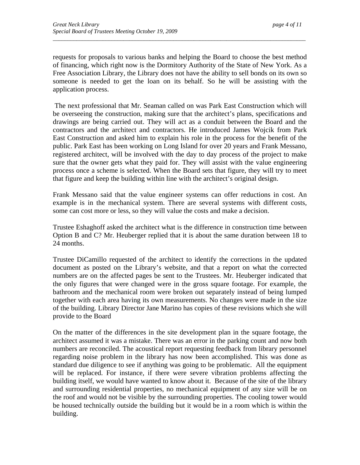requests for proposals to various banks and helping the Board to choose the best method of financing, which right now is the Dormitory Authority of the State of New York. As a Free Association Library, the Library does not have the ability to sell bonds on its own so someone is needed to get the loan on its behalf. So he will be assisting with the application process.

*\_\_\_\_\_\_\_\_\_\_\_\_\_\_\_\_\_\_\_\_\_\_\_\_\_\_\_\_\_\_\_\_\_\_\_\_\_\_\_\_\_\_\_\_\_\_\_\_\_\_\_\_\_\_\_\_\_\_\_\_\_\_\_\_\_\_\_\_\_\_\_\_\_\_\_\_\_\_\_\_\_\_\_\_\_\_* 

 The next professional that Mr. Seaman called on was Park East Construction which will be overseeing the construction, making sure that the architect's plans, specifications and drawings are being carried out. They will act as a conduit between the Board and the contractors and the architect and contractors. He introduced James Wojcik from Park East Construction and asked him to explain his role in the process for the benefit of the public. Park East has been working on Long Island for over 20 years and Frank Messano, registered architect, will be involved with the day to day process of the project to make sure that the owner gets what they paid for. They will assist with the value engineering process once a scheme is selected. When the Board sets that figure, they will try to meet that figure and keep the building within line with the architect's original design.

Frank Messano said that the value engineer systems can offer reductions in cost. An example is in the mechanical system. There are several systems with different costs, some can cost more or less, so they will value the costs and make a decision.

Trustee Eshaghoff asked the architect what is the difference in construction time between Option B and C? Mr. Heuberger replied that it is about the same duration between 18 to 24 months.

Trustee DiCamillo requested of the architect to identify the corrections in the updated document as posted on the Library's website, and that a report on what the corrected numbers are on the affected pages be sent to the Trustees. Mr. Heuberger indicated that the only figures that were changed were in the gross square footage. For example, the bathroom and the mechanical room were broken out separately instead of being lumped together with each area having its own measurements. No changes were made in the size of the building. Library Director Jane Marino has copies of these revisions which she will provide to the Board

On the matter of the differences in the site development plan in the square footage, the architect assumed it was a mistake. There was an error in the parking count and now both numbers are reconciled. The acoustical report requesting feedback from library personnel regarding noise problem in the library has now been accomplished. This was done as standard due diligence to see if anything was going to be problematic. All the equipment will be replaced. For instance, if there were severe vibration problems affecting the building itself, we would have wanted to know about it. Because of the site of the library and surrounding residential properties, no mechanical equipment of any size will be on the roof and would not be visible by the surrounding properties. The cooling tower would be housed technically outside the building but it would be in a room which is within the building.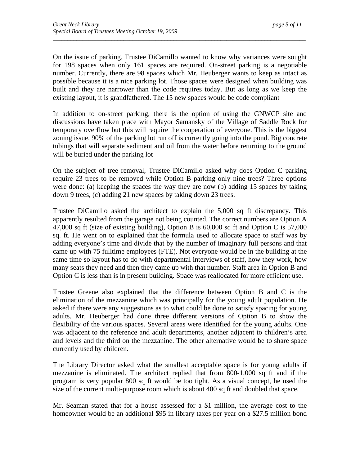On the issue of parking, Trustee DiCamillo wanted to know why variances were sought for 198 spaces when only 161 spaces are required. On-street parking is a negotiable number. Currently, there are 98 spaces which Mr. Heuberger wants to keep as intact as possible because it is a nice parking lot. Those spaces were designed when building was built and they are narrower than the code requires today. But as long as we keep the existing layout, it is grandfathered. The 15 new spaces would be code compliant

*\_\_\_\_\_\_\_\_\_\_\_\_\_\_\_\_\_\_\_\_\_\_\_\_\_\_\_\_\_\_\_\_\_\_\_\_\_\_\_\_\_\_\_\_\_\_\_\_\_\_\_\_\_\_\_\_\_\_\_\_\_\_\_\_\_\_\_\_\_\_\_\_\_\_\_\_\_\_\_\_\_\_\_\_\_\_* 

In addition to on-street parking, there is the option of using the GNWCP site and discussions have taken place with Mayor Samansky of the Village of Saddle Rock for temporary overflow but this will require the cooperation of everyone. This is the biggest zoning issue. 90% of the parking lot run off is currently going into the pond. Big concrete tubings that will separate sediment and oil from the water before returning to the ground will be buried under the parking lot

On the subject of tree removal, Trustee DiCamillo asked why does Option C parking require 23 trees to be removed while Option B parking only nine trees? Three options were done: (a) keeping the spaces the way they are now (b) adding 15 spaces by taking down 9 trees, (c) adding 21 new spaces by taking down 23 trees.

Trustee DiCamillo asked the architect to explain the 5,000 sq ft discrepancy. This apparently resulted from the garage not being counted. The correct numbers are Option A 47,000 sq ft (size of existing building), Option B is 60,000 sq ft and Option C is 57,000 sq. ft. He went on to explained that the formula used to allocate space to staff was by adding everyone's time and divide that by the number of imaginary full persons and that came up with 75 fulltime employees (FTE). Not everyone would be in the building at the same time so layout has to do with departmental interviews of staff, how they work, how many seats they need and then they came up with that number. Staff area in Option B and Option C is less than is in present building. Space was reallocated for more efficient use.

Trustee Greene also explained that the difference between Option B and C is the elimination of the mezzanine which was principally for the young adult population. He asked if there were any suggestions as to what could be done to satisfy spacing for young adults. Mr. Heuberger had done three different versions of Option B to show the flexibility of the various spaces. Several areas were identified for the young adults. One was adjacent to the reference and adult departments, another adjacent to children's area and levels and the third on the mezzanine. The other alternative would be to share space currently used by children.

The Library Director asked what the smallest acceptable space is for young adults if mezzanine is eliminated. The architect replied that from 800-1,000 sq ft and if the program is very popular 800 sq ft would be too tight. As a visual concept, he used the size of the current multi-purpose room which is about 400 sq ft and doubled that space.

Mr. Seaman stated that for a house assessed for a \$1 million, the average cost to the homeowner would be an additional \$95 in library taxes per year on a \$27.5 million bond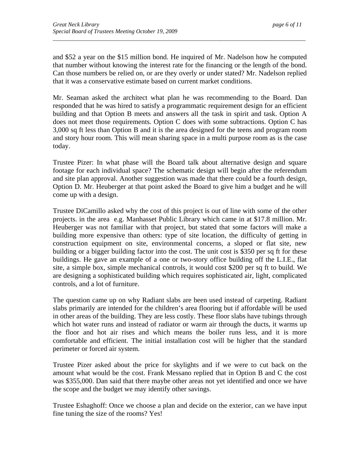and \$52 a year on the \$15 million bond. He inquired of Mr. Nadelson how he computed that number without knowing the interest rate for the financing or the length of the bond. Can those numbers be relied on, or are they overly or under stated? Mr. Nadelson replied that it was a conservative estimate based on current market conditions.

*\_\_\_\_\_\_\_\_\_\_\_\_\_\_\_\_\_\_\_\_\_\_\_\_\_\_\_\_\_\_\_\_\_\_\_\_\_\_\_\_\_\_\_\_\_\_\_\_\_\_\_\_\_\_\_\_\_\_\_\_\_\_\_\_\_\_\_\_\_\_\_\_\_\_\_\_\_\_\_\_\_\_\_\_\_\_* 

Mr. Seaman asked the architect what plan he was recommending to the Board. Dan responded that he was hired to satisfy a programmatic requirement design for an efficient building and that Option B meets and answers all the task in spirit and task. Option A does not meet those requirements. Option C does with some subtractions. Option C has 3,000 sq ft less than Option B and it is the area designed for the teens and program room and story hour room. This will mean sharing space in a multi purpose room as is the case today.

Trustee Pizer: In what phase will the Board talk about alternative design and square footage for each individual space? The schematic design will begin after the referendum and site plan approval. Another suggestion was made that there could be a fourth design, Option D. Mr. Heuberger at that point asked the Board to give him a budget and he will come up with a design.

Trustee DiCamillo asked why the cost of this project is out of line with some of the other projects. in the area e.g. Manhasset Public Library which came in at \$17.8 million. Mr. Heuberger was not familiar with that project, but stated that some factors will make a building more expensive than others: type of site location, the difficulty of getting in construction equipment on site, environmental concerns, a sloped or flat site, new building or a bigger building factor into the cost. The unit cost is \$350 per sq ft for these buildings. He gave an example of a one or two-story office building off the L.I.E., flat site, a simple box, simple mechanical controls, it would cost \$200 per sq ft to build. We are designing a sophisticated building which requires sophisticated air, light, complicated controls, and a lot of furniture.

The question came up on why Radiant slabs are been used instead of carpeting. Radiant slabs primarily are intended for the children's area flooring but if affordable will be used in other areas of the building. They are less costly. These floor slabs have tubings through which hot water runs and instead of radiator or warm air through the ducts, it warms up the floor and hot air rises and which means the boiler runs less, and it is more comfortable and efficient. The initial installation cost will be higher that the standard perimeter or forced air system.

Trustee Pizer asked about the price for skylights and if we were to cut back on the amount what would be the cost. Frank Messano replied that in Option B and C the cost was \$355,000. Dan said that there maybe other areas not yet identified and once we have the scope and the budget we may identify other savings.

Trustee Eshaghoff: Once we choose a plan and decide on the exterior, can we have input fine tuning the size of the rooms? Yes!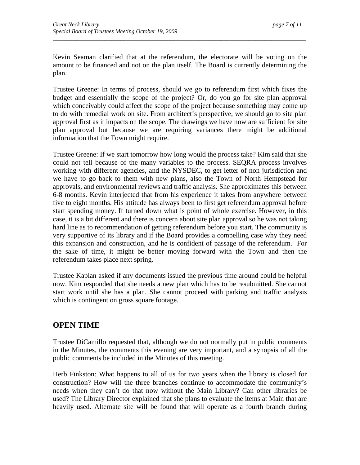Kevin Seaman clarified that at the referendum, the electorate will be voting on the amount to be financed and not on the plan itself. The Board is currently determining the plan.

*\_\_\_\_\_\_\_\_\_\_\_\_\_\_\_\_\_\_\_\_\_\_\_\_\_\_\_\_\_\_\_\_\_\_\_\_\_\_\_\_\_\_\_\_\_\_\_\_\_\_\_\_\_\_\_\_\_\_\_\_\_\_\_\_\_\_\_\_\_\_\_\_\_\_\_\_\_\_\_\_\_\_\_\_\_\_* 

Trustee Greene: In terms of process, should we go to referendum first which fixes the budget and essentially the scope of the project? Or, do you go for site plan approval which conceivably could affect the scope of the project because something may come up to do with remedial work on site. From architect's perspective, we should go to site plan approval first as it impacts on the scope. The drawings we have now are sufficient for site plan approval but because we are requiring variances there might be additional information that the Town might require.

Trustee Greene: If we start tomorrow how long would the process take? Kim said that she could not tell because of the many variables to the process. SEQRA process involves working with different agencies, and the NYSDEC, to get letter of non jurisdiction and we have to go back to them with new plans, also the Town of North Hempstead for approvals, and environmental reviews and traffic analysis. She approximates this between 6-8 months. Kevin interjected that from his experience it takes from anywhere between five to eight months. His attitude has always been to first get referendum approval before start spending money. If turned down what is point of whole exercise. However, in this case, it is a bit different and there is concern about site plan approval so he was not taking hard line as to recommendation of getting referendum before you start. The community is very supportive of its library and if the Board provides a compelling case why they need this expansion and construction, and he is confident of passage of the referendum. For the sake of time, it might be better moving forward with the Town and then the referendum takes place next spring.

Trustee Kaplan asked if any documents issued the previous time around could be helpful now. Kim responded that she needs a new plan which has to be resubmitted. She cannot start work until she has a plan. She cannot proceed with parking and traffic analysis which is contingent on gross square footage.

## **OPEN TIME**

Trustee DiCamillo requested that, although we do not normally put in public comments in the Minutes, the comments this evening are very important, and a synopsis of all the public comments be included in the Minutes of this meeting.

Herb Finkston: What happens to all of us for two years when the library is closed for construction? How will the three branches continue to accommodate the community's needs when they can't do that now without the Main Library? Can other libraries be used? The Library Director explained that she plans to evaluate the items at Main that are heavily used. Alternate site will be found that will operate as a fourth branch during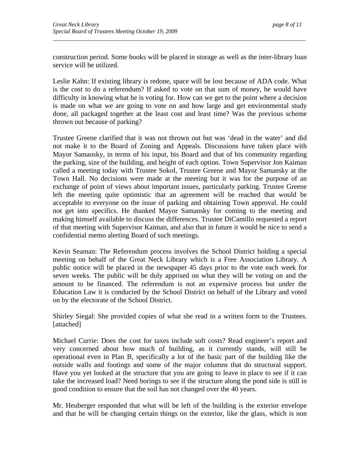construction period. Some books will be placed in storage as well as the inter-library loan service will be utilized.

*\_\_\_\_\_\_\_\_\_\_\_\_\_\_\_\_\_\_\_\_\_\_\_\_\_\_\_\_\_\_\_\_\_\_\_\_\_\_\_\_\_\_\_\_\_\_\_\_\_\_\_\_\_\_\_\_\_\_\_\_\_\_\_\_\_\_\_\_\_\_\_\_\_\_\_\_\_\_\_\_\_\_\_\_\_\_* 

Leslie Kahn: If existing library is redone, space will be lost because of ADA code. What is the cost to do a referendum? If asked to vote on that sum of money, he would have difficulty in knowing what he is voting for. How can we get to the point where a decision is made on what we are going to vote on and how large and get environmental study done, all packaged together at the least cost and least time? Was the previous scheme thrown out because of parking?

Trustee Greene clarified that it was not thrown out but was 'dead in the water' and did not make it to the Board of Zoning and Appeals. Discussions have taken place with Mayor Samansky, in terms of his input, his Board and that of his community regarding the parking, size of the building, and height of each option. Town Supervisor Jon Kaiman called a meeting today with Trustee Sokol, Trustee Greene and Mayor Samansky at the Town Hall. No decisions were made at the meeting but it was for the purpose of an exchange of point of views about important issues, particularly parking. Trustee Greene left the meeting quite optimistic that an agreement will be reached that would be acceptable to everyone on the issue of parking and obtaining Town approval. He could not get into specifics. He thanked Mayor Samansky for coming to the meeting and making himself available to discuss the differences. Trustee DiCamillo requested a report of that meeting with Supervisor Kaiman, and also that in future it would be nice to send a confidential memo alerting Board of such meetings.

Kevin Seaman: The Referendum process involves the School District holding a special meeting on behalf of the Great Neck Library which is a Free Association Library. A public notice will be placed in the newspaper 45 days prior to the vote each week for seven weeks. The public will be duly apprised on what they will be voting on and the amount to be financed. The referendum is not an expensive process but under the Education Law it is conducted by the School District on behalf of the Library and voted on by the electorate of the School District.

Shirley Siegal: She provided copies of what she read in a written form to the Trustees. [attached]

Michael Currie: Does the cost for taxes include soft costs? Read engineer's report and very concerned about how much of building, as it currently stands, will still be operational even in Plan B, specifically a lot of the basic part of the building like the outside walls and footings and some of the major columns that do structural support. Have you yet looked at the structure that you are going to leave in place to see if it can take the increased load? Need borings to see if the structure along the pond side is still in good condition to ensure that the soil has not changed over the 40 years.

Mr. Heuberger responded that what will be left of the building is the exterior envelope and that he will be changing certain things on the exterior, like the glass, which is non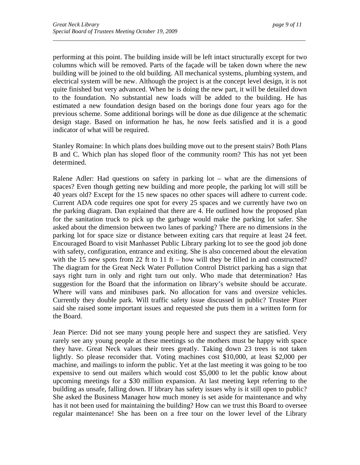performing at this point. The building inside will be left intact structurally except for two columns which will be removed. Parts of the façade will be taken down where the new building will be joined to the old building. All mechanical systems, plumbing system, and electrical system will be new. Although the project is at the concept level design, it is not quite finished but very advanced. When he is doing the new part, it will be detailed down to the foundation. No substantial new loads will be added to the building. He has estimated a new foundation design based on the borings done four years ago for the previous scheme. Some additional borings will be done as due diligence at the schematic design stage. Based on information he has, he now feels satisfied and it is a good indicator of what will be required.

*\_\_\_\_\_\_\_\_\_\_\_\_\_\_\_\_\_\_\_\_\_\_\_\_\_\_\_\_\_\_\_\_\_\_\_\_\_\_\_\_\_\_\_\_\_\_\_\_\_\_\_\_\_\_\_\_\_\_\_\_\_\_\_\_\_\_\_\_\_\_\_\_\_\_\_\_\_\_\_\_\_\_\_\_\_\_* 

Stanley Romaine: In which plans does building move out to the present stairs? Both Plans B and C. Which plan has sloped floor of the community room? This has not yet been determined.

Ralene Adler: Had questions on safety in parking lot – what are the dimensions of spaces? Even though getting new building and more people, the parking lot will still be 40 years old? Except for the 15 new spaces no other spaces will adhere to current code. Current ADA code requires one spot for every 25 spaces and we currently have two on the parking diagram. Dan explained that there are 4. He outlined how the proposed plan for the sanitation truck to pick up the garbage would make the parking lot safer. She asked about the dimension between two lanes of parking? There are no dimensions in the parking lot for space size or distance between exiting cars that require at least 24 feet. Encouraged Board to visit Manhasset Public Library parking lot to see the good job done with safety, configuration, entrance and exiting. She is also concerned about the elevation with the 15 new spots from 22 ft to 11 ft – how will they be filled in and constructed? The diagram for the Great Neck Water Pollution Control District parking has a sign that says right turn in only and right turn out only. Who made that determination? Has suggestion for the Board that the information on library's website should be accurate. Where will vans and minibuses park. No allocation for vans and oversize vehicles. Currently they double park. Will traffic safety issue discussed in public? Trustee Pizer said she raised some important issues and requested she puts them in a written form for the Board.

Jean Pierce: Did not see many young people here and suspect they are satisfied. Very rarely see any young people at these meetings so the mothers must be happy with space they have. Great Neck values their trees greatly. Taking down 23 trees is not taken lightly. So please reconsider that. Voting machines cost \$10,000, at least \$2,000 per machine, and mailings to inform the public. Yet at the last meeting it was going to be too expensive to send out mailers which would cost \$5,000 to let the public know about upcoming meetings for a \$30 million expansion. At last meeting kept referring to the building as unsafe, falling down. If library has safety issues why is it still open to public? She asked the Business Manager how much money is set aside for maintenance and why has it not been used for maintaining the building? How can we trust this Board to oversee regular maintenance! She has been on a free tour on the lower level of the Library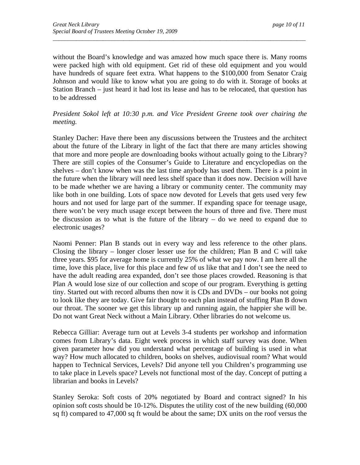without the Board's knowledge and was amazed how much space there is. Many rooms were packed high with old equipment. Get rid of these old equipment and you would have hundreds of square feet extra. What happens to the \$100,000 from Senator Craig Johnson and would like to know what you are going to do with it. Storage of books at Station Branch – just heard it had lost its lease and has to be relocated, that question has to be addressed

*\_\_\_\_\_\_\_\_\_\_\_\_\_\_\_\_\_\_\_\_\_\_\_\_\_\_\_\_\_\_\_\_\_\_\_\_\_\_\_\_\_\_\_\_\_\_\_\_\_\_\_\_\_\_\_\_\_\_\_\_\_\_\_\_\_\_\_\_\_\_\_\_\_\_\_\_\_\_\_\_\_\_\_\_\_\_* 

#### *President Sokol left at 10:30 p.m. and Vice President Greene took over chairing the meeting.*

Stanley Dacher: Have there been any discussions between the Trustees and the architect about the future of the Library in light of the fact that there are many articles showing that more and more people are downloading books without actually going to the Library? There are still copies of the Consumer's Guide to Literature and encyclopedias on the shelves – don't know when was the last time anybody has used them. There is a point in the future when the library will need less shelf space than it does now. Decision will have to be made whether we are having a library or community center. The community may like both in one building. Lots of space now devoted for Levels that gets used very few hours and not used for large part of the summer. If expanding space for teenage usage, there won't be very much usage except between the hours of three and five. There must be discussion as to what is the future of the library – do we need to expand due to electronic usages?

Naomi Penner: Plan B stands out in every way and less reference to the other plans. Closing the library – longer closer lesser use for the children; Plan B and C will take three years. \$95 for average home is currently 25% of what we pay now. I am here all the time, love this place, live for this place and few of us like that and I don't see the need to have the adult reading area expanded, don't see those places crowded. Reasoning is that Plan A would lose size of our collection and scope of our program. Everything is getting tiny. Started out with record albums then now it is CDs and DVDs – our books not going to look like they are today. Give fair thought to each plan instead of stuffing Plan B down our throat. The sooner we get this library up and running again, the happier she will be. Do not want Great Neck without a Main Library. Other libraries do not welcome us.

Rebecca Gilliar: Average turn out at Levels 3-4 students per workshop and information comes from Library's data. Eight week process in which staff survey was done. When given parameter how did you understand what percentage of building is used in what way? How much allocated to children, books on shelves, audiovisual room? What would happen to Technical Services, Levels? Did anyone tell you Children's programming use to take place in Levels space? Levels not functional most of the day. Concept of putting a librarian and books in Levels?

Stanley Seroka: Soft costs of 20% negotiated by Board and contract signed? In his opinion soft costs should be 10-12%. Disputes the utility cost of the new building (60,000 sq ft) compared to 47,000 sq ft would be about the same; DX units on the roof versus the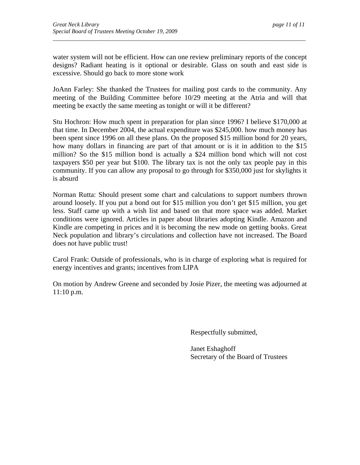water system will not be efficient. How can one review preliminary reports of the concept designs? Radiant heating is it optional or desirable. Glass on south and east side is excessive. Should go back to more stone work

*\_\_\_\_\_\_\_\_\_\_\_\_\_\_\_\_\_\_\_\_\_\_\_\_\_\_\_\_\_\_\_\_\_\_\_\_\_\_\_\_\_\_\_\_\_\_\_\_\_\_\_\_\_\_\_\_\_\_\_\_\_\_\_\_\_\_\_\_\_\_\_\_\_\_\_\_\_\_\_\_\_\_\_\_\_\_* 

JoAnn Farley: She thanked the Trustees for mailing post cards to the community. Any meeting of the Building Committee before 10/29 meeting at the Atria and will that meeting be exactly the same meeting as tonight or will it be different?

Stu Hochron: How much spent in preparation for plan since 1996? I believe \$170,000 at that time. In December 2004, the actual expenditure was \$245,000. how much money has been spent since 1996 on all these plans. On the proposed \$15 million bond for 20 years, how many dollars in financing are part of that amount or is it in addition to the \$15 million? So the \$15 million bond is actually a \$24 million bond which will not cost taxpayers \$50 per year but \$100. The library tax is not the only tax people pay in this community. If you can allow any proposal to go through for \$350,000 just for skylights it is absurd

Norman Rutta: Should present some chart and calculations to support numbers thrown around loosely. If you put a bond out for \$15 million you don't get \$15 million, you get less. Staff came up with a wish list and based on that more space was added. Market conditions were ignored. Articles in paper about libraries adopting Kindle. Amazon and Kindle are competing in prices and it is becoming the new mode on getting books. Great Neck population and library's circulations and collection have not increased. The Board does not have public trust!

Carol Frank: Outside of professionals, who is in charge of exploring what is required for energy incentives and grants; incentives from LIPA

On motion by Andrew Greene and seconded by Josie Pizer, the meeting was adjourned at 11:10 p.m.

Respectfully submitted,

 Janet Eshaghoff Secretary of the Board of Trustees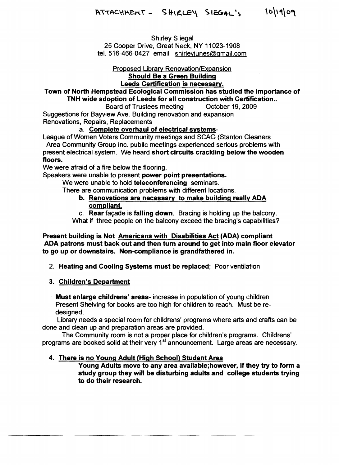Shirley Siegal 25 Cooper Drive, Great Neck, NY 11023-1908 tel. 516-466-0427 email shirlevjunes@gmail.com

#### Proposed Library Renovation/Expansion Should Be a Green Building

## Leeds Certification is necessary.

# Town of North Hempstead Ecological Commission has studied the importance of TNH wide adoption of Leeds for all construction with Certification..<br>Board of Trustees meeting Cotober 19, 2009

Board of Trustees meeting Suggestions for Bayview Ave. Building renovation and expansion Renovations, Repairs, Replacements

#### a. Complete overhaul of electrical systems-

League of Women Voters Community meetings and SCAG (Stanton Cleaners Area Community Group Inc. public meetings experienced serious problems with present electrical system. We heard short circuits crackling below the wooden

#### floors.

We were afraid of a fire below the flooring.

Speakers were unable to present power point presentations.

We were unable to hold teleconferencing seminars.

There are communication problems with different locations.

b. Renovations are necessary to make building really ADA compliant.

c. Rear façade is falling down. Bracing is holding up the balcony.

What if three people on the balcony exceed the bracing's capabilities?

Present building is Not Americans with Disabilities Act (ADA) compliant ADA patrons must back out and then turn around to get into main floor elevator to go up or downstairs. Non-compliance is grandfathered in.

2. Heating and Cooling Systems must be replaced; Poor ventilation

#### 3. Children's Department

Must enlarge childrens' areas- increase in population of young children Present Shelving for books are too high for children to reach. Must be re designed.

Library needs a special room for childrens' programs where arts and crafts can be done and clean up and preparation areas are provided.

The Community room is not a proper place for children's programs. Childrens' programs are booked solid at their very 1<sup>st</sup> announcement. Large areas are necessary.

#### 4. There is no Young Adult (High School) Student Area

Young Adults move to any area available;however, if they try to form a study group they will be disturbing adults and college students trying to do their research.